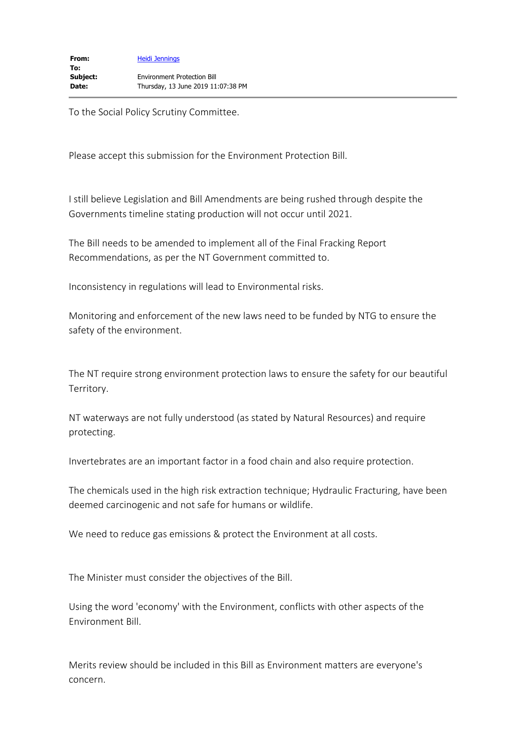To the Social Policy Scrutiny Committee.

Please accept this submission for the Environment Protection Bill.

I still believe Legislation and Bill Amendments are being rushed through despite the Governments timeline stating production will not occur until 2021.

The Bill needs to be amended to implement all of the Final Fracking Report Recommendations, as per the NT Government committed to.

Inconsistency in regulations will lead to Environmental risks.

Monitoring and enforcement of the new laws need to be funded by NTG to ensure the safety of the environment.

The NT require strong environment protection laws to ensure the safety for our beautiful Territory.

NT waterways are not fully understood (as stated by Natural Resources) and require protecting.

Invertebrates are an important factor in a food chain and also require protection.

The chemicals used in the high risk extraction technique; Hydraulic Fracturing, have been deemed carcinogenic and not safe for humans or wildlife.

We need to reduce gas emissions & protect the Environment at all costs.

The Minister must consider the objectives of the Bill.

Using the word 'economy' with the Environment, conflicts with other aspects of the Environment Bill.

Merits review should be included in this Bill as Environment matters are everyone's concern.